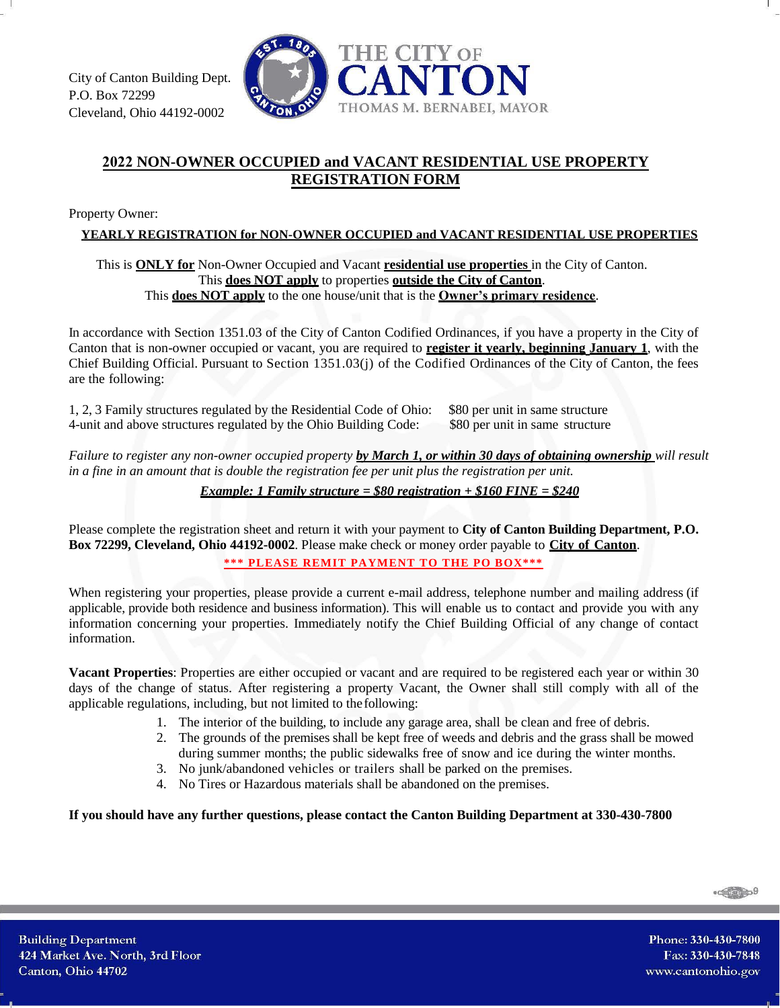

## **2022 NON-OWNER OCCUPIED and VACANT RESIDENTIAL USE PROPERTY REGISTRATION FORM**

Property Owner:

**YEARLY REGISTRATION for NON-OWNER OCCUPIED and VACANT RESIDENTIAL USE PROPERTIES**

## This is **ONLY for** Non-Owner Occupied and Vacant **residential use properties** in the City of Canton. This **does NOT apply** to properties **outside the City of Canton**. This **does NOT apply** to the one house/unit that is the **Owner's primary residence**.

In accordance with Section 1351.03 of the City of Canton Codified Ordinances, if you have a property in the City of Canton that is non-owner occupied or vacant, you are required to **register it yearly, beginning January 1**, with the Chief Building Official. Pursuant to Section 1351.03(j) of the Codified Ordinances of the City of Canton, the fees are the following:

1, 2, 3 Family structures regulated by the Residential Code of Ohio: \$80 per unit in same structure 4-unit and above structures regulated by the Ohio Building Code: \$80 per unit in same structure

*Failure to register any non-owner occupied property by March 1, or within 30 days of obtaining ownership will result in a fine in an amount that is double the registration fee per unit plus the registration per unit.*

*Example: 1 Family structure = \$80 registration + \$160 FINE = \$240*

Please complete the registration sheet and return it with your payment to **City of Canton Building Department, P.O. Box 72299, Cleveland, Ohio 44192-0002**. Please make check or money order payable to **City of Canton**.

**\*\*\* PLEASE REMIT PAYMENT TO THE PO BOX\*\*\***

When registering your properties, please provide a current e-mail address, telephone number and mailing address (if applicable, provide both residence and business information). This will enable us to contact and provide you with any information concerning your properties. Immediately notify the Chief Building Official of any change of contact information.

**Vacant Properties**: Properties are either occupied or vacant and are required to be registered each year or within 30 days of the change of status. After registering a property Vacant, the Owner shall still comply with all of the applicable regulations, including, but not limited to the following:

- 1. The interior of the building, to include any garage area, shall be clean and free of debris.
- 2. The grounds of the premises shall be kept free of weeds and debris and the grass shall be mowed during summer months; the public sidewalks free of snow and ice during the winter months.
- 3. No junk/abandoned vehicles or trailers shall be parked on the premises.
- 4. No Tires or Hazardous materials shall be abandoned on the premises.

**If you should have any further questions, please contact the Canton Building Department at 330-430-7800**

 $-\frac{1}{2}$ 

Phone: 330-430-7800 Fax: 330-430-7848 www.cantonohio.gov